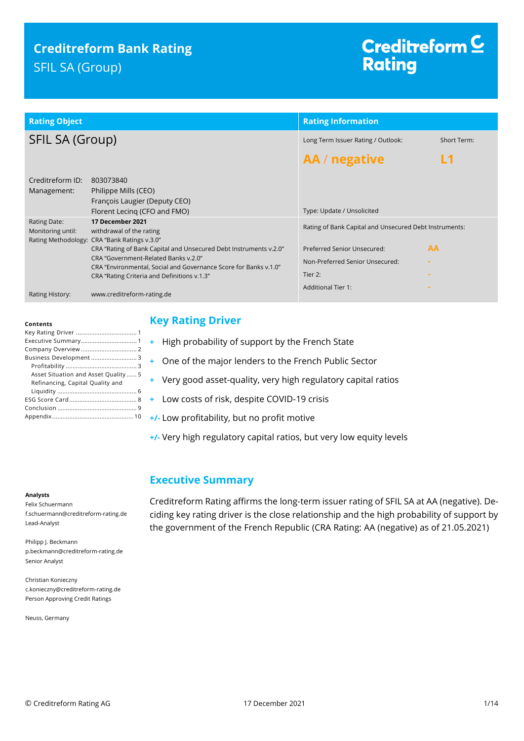## **Creditreform Bank Rating** SFIL SA (Group)

# Creditreform<sup>C</sup> **Rating**

| <b>Rating Object</b>              |                                                                                                                                                                                                                                                                                                                              | <b>Rating Information</b>                                                                                                           |             |
|-----------------------------------|------------------------------------------------------------------------------------------------------------------------------------------------------------------------------------------------------------------------------------------------------------------------------------------------------------------------------|-------------------------------------------------------------------------------------------------------------------------------------|-------------|
| SFIL SA (Group)                   |                                                                                                                                                                                                                                                                                                                              | Long Term Issuer Rating / Outlook:                                                                                                  | Short Term: |
|                                   |                                                                                                                                                                                                                                                                                                                              | AA / negative                                                                                                                       |             |
| Creditreform ID:<br>Management:   | 803073840<br>Philippe Mills (CEO)<br>François Laugier (Deputy CEO)<br>Florent Lecing (CFO and FMO)                                                                                                                                                                                                                           | Type: Update / Unsolicited                                                                                                          |             |
| Rating Date:<br>Monitoring until: | 17 December 2021<br>withdrawal of the rating<br>Rating Methodology: CRA "Bank Ratings v.3.0"<br>CRA "Rating of Bank Capital and Unsecured Debt Instruments v.2.0"<br>CRA "Government-Related Banks v.2.0"<br>CRA "Environmental, Social and Governance Score for Banks v.1.0"<br>CRA "Rating Criteria and Definitions v.1.3" | Rating of Bank Capital and Unsecured Debt Instruments:<br>Preferred Senior Unsecured:<br>Non-Preferred Senior Unsecured:<br>Tier 2: | <b>AA</b>   |
| Rating History:                   | www.creditreform-rating.de                                                                                                                                                                                                                                                                                                   | <b>Additional Tier 1:</b>                                                                                                           |             |

#### **Contents**

| Business Development 3              |
|-------------------------------------|
|                                     |
| Asset Situation and Asset Quality 5 |
| Refinancing, Capital Quality and    |
|                                     |
|                                     |
|                                     |
|                                     |

### <span id="page-0-0"></span>**Key Rating Driver**

- **+** High probability of support by the French State
- **+** One of the major lenders to the French Public Sector
- **+** Very good asset-quality, very high regulatory capital ratios
- **+** Low costs of risk, despite COVID-19 crisis
- **+/-** Low profitability, but no profit motive
- **+/-** Very high regulatory capital ratios, but very low equity levels

### <span id="page-0-1"></span>**Executive Summary**

#### **Analysts**

Felix Schuermann f.schuermann@creditreform-rating.de Lead-Analyst

Philipp J. Beckmann p.beckmann@creditreform-rating.de Senior Analyst

Christian Konieczny c.konieczny@creditreform-rating.de Person Approving Credit Ratings

Neuss, Germany

Creditreform Rating affirms the long-term issuer rating of SFIL SA at AA (negative). Deciding key rating driver is the close relationship and the high probability of support by the government of the French Republic (CRA Rating: AA (negative) as of 21.05.2021)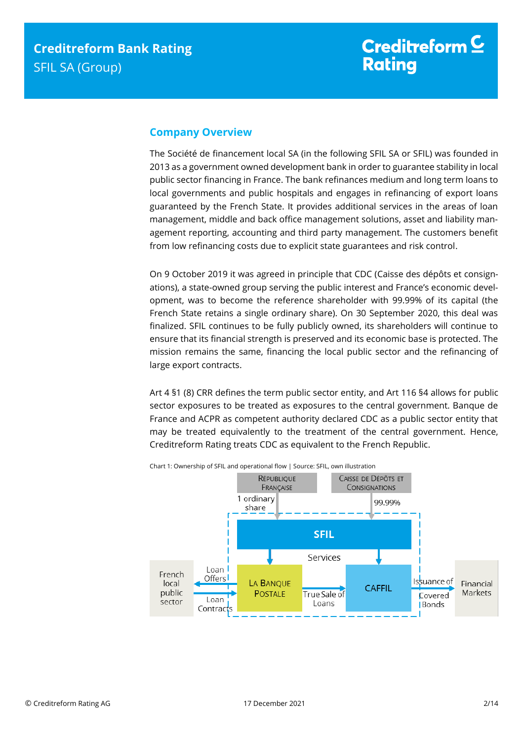### <span id="page-1-0"></span>**Company Overview**

The Société de financement local SA (in the following SFIL SA or SFIL) was founded in 2013 as a government owned development bank in order to guarantee stability in local public sector financing in France. The bank refinances medium and long term loans to local governments and public hospitals and engages in refinancing of export loans guaranteed by the French State. It provides additional services in the areas of loan management, middle and back office management solutions, asset and liability management reporting, accounting and third party management. The customers benefit from low refinancing costs due to explicit state guarantees and risk control.

On 9 October 2019 it was agreed in principle that CDC (Caisse des dépôts et consignations), a state-owned group serving the public interest and France's economic development, was to become the reference shareholder with 99.99% of its capital (the French State retains a single ordinary share). On 30 September 2020, this deal was finalized. SFIL continues to be fully publicly owned, its shareholders will continue to ensure that its financial strength is preserved and its economic base is protected. The mission remains the same, financing the local public sector and the refinancing of large export contracts.

Art 4 §1 (8) CRR defines the term public sector entity, and Art 116 §4 allows for public sector exposures to be treated as exposures to the central government. Banque de France and ACPR as competent authority declared CDC as a public sector entity that may be treated equivalently to the treatment of the central government. Hence, Creditreform Rating treats CDC as equivalent to the French Republic.

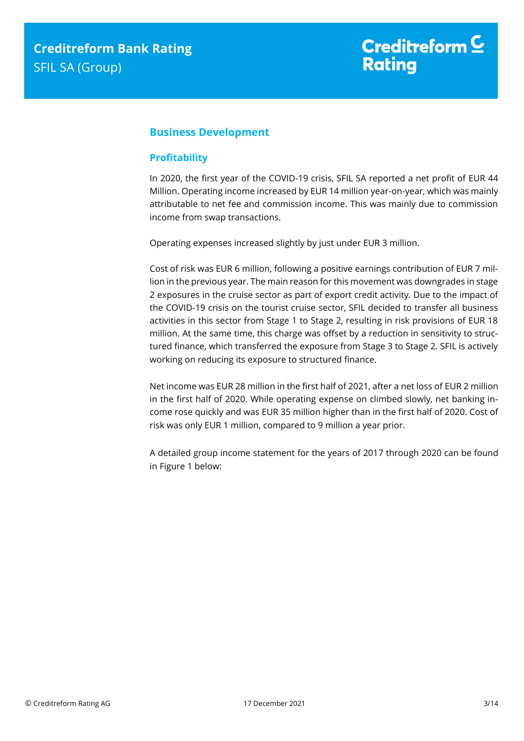### <span id="page-2-0"></span>**Business Development**

### <span id="page-2-1"></span>**Profitability**

In 2020, the first year of the COVID-19 crisis, SFIL SA reported a net profit of EUR 44 Million. Operating income increased by EUR 14 million year-on-year, which was mainly attributable to net fee and commission income. This was mainly due to commission income from swap transactions.

Operating expenses increased slightly by just under EUR 3 million.

Cost of risk was EUR 6 million, following a positive earnings contribution of EUR 7 million in the previous year. The main reason for this movement was downgrades in stage 2 exposures in the cruise sector as part of export credit activity. Due to the impact of the COVID-19 crisis on the tourist cruise sector, SFIL decided to transfer all business activities in this sector from Stage 1 to Stage 2, resulting in risk provisions of EUR 18 million. At the same time, this charge was offset by a reduction in sensitivity to structured finance, which transferred the exposure from Stage 3 to Stage 2. SFIL is actively working on reducing its exposure to structured finance.

Net income was EUR 28 million in the first half of 2021, after a net loss of EUR 2 million in the first half of 2020. While operating expense on climbed slowly, net banking income rose quickly and was EUR 35 million higher than in the first half of 2020. Cost of risk was only EUR 1 million, compared to 9 million a year prior.

A detailed group income statement for the years of 2017 through 2020 can be found in Figure 1 below: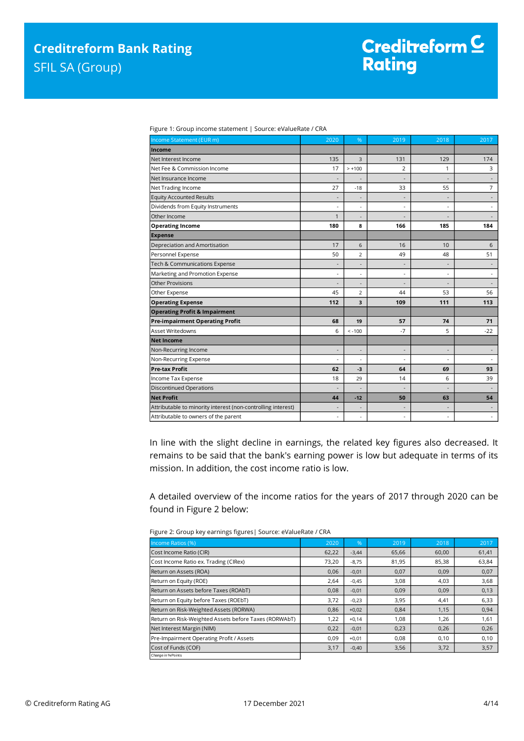| Figure 1: Group income statement   Source: eValueRate / CRA |  |
|-------------------------------------------------------------|--|
|                                                             |  |

| Income Statement (EUR m)                                     | $20\overline{20}$        | %                        | 2019 | 2018                     | 2017                     |
|--------------------------------------------------------------|--------------------------|--------------------------|------|--------------------------|--------------------------|
| Income                                                       |                          |                          |      |                          |                          |
| Net Interest Income                                          | 135                      | 3                        | 131  | 129                      | 174                      |
| Net Fee & Commission Income                                  | 17                       | $> +100$                 | 2    | 1                        | 3                        |
| Net Insurance Income                                         |                          |                          |      |                          |                          |
| Net Trading Income                                           | 27                       | $-18$                    | 33   | 55                       | $\overline{7}$           |
| <b>Equity Accounted Results</b>                              | $\overline{a}$           | ٠                        |      | $\overline{a}$           |                          |
| Dividends from Equity Instruments                            | $\overline{a}$           | ÷,                       |      | $\overline{\phantom{a}}$ | $\overline{a}$           |
| Other Income                                                 | 1                        |                          |      | $\overline{\phantom{a}}$ |                          |
| <b>Operating Income</b>                                      | 180                      | 8                        | 166  | 185                      | 184                      |
| <b>Expense</b>                                               |                          |                          |      |                          |                          |
| Depreciation and Amortisation                                | 17                       | 6                        | 16   | 10                       | 6                        |
| Personnel Expense                                            | 50                       | 2                        | 49   | 48                       | 51                       |
| Tech & Communications Expense                                | $\overline{\phantom{m}}$ | ł,                       |      | $\overline{\phantom{a}}$ |                          |
| Marketing and Promotion Expense                              | ÷,                       | ÷,                       |      | $\overline{\phantom{a}}$ | $\overline{a}$           |
| <b>Other Provisions</b>                                      |                          | ٠                        |      |                          |                          |
| Other Expense                                                | 45                       | 2                        | 44   | 53                       | 56                       |
| <b>Operating Expense</b>                                     | 112                      | 3                        | 109  | 111                      | 113                      |
| <b>Operating Profit &amp; Impairment</b>                     |                          |                          |      |                          |                          |
| <b>Pre-impairment Operating Profit</b>                       | 68                       | 19                       | 57   | 74                       | 71                       |
| Asset Writedowns                                             | 6                        | $< -100$                 | $-7$ | 5                        | $-22$                    |
| <b>Net Income</b>                                            |                          |                          |      |                          |                          |
| Non-Recurring Income                                         | $\overline{a}$           | $\overline{\phantom{a}}$ | ÷    | $\overline{\phantom{a}}$ | $\overline{a}$           |
| Non-Recurring Expense                                        |                          | ٠                        |      | $\overline{\phantom{a}}$ |                          |
| <b>Pre-tax Profit</b>                                        | 62                       | $-3$                     | 64   | 69                       | 93                       |
| Income Tax Expense                                           | 18                       | 29                       | 14   | 6                        | 39                       |
| <b>Discontinued Operations</b>                               | $\overline{\phantom{a}}$ | $\overline{\phantom{a}}$ |      | $\overline{\phantom{a}}$ | $\overline{\phantom{a}}$ |
| <b>Net Profit</b>                                            | 44                       | $-12$                    | 50   | 63                       | 54                       |
| Attributable to minority interest (non-controlling interest) | $\overline{\phantom{a}}$ |                          |      | $\overline{\phantom{a}}$ |                          |
| Attributable to owners of the parent                         | $\overline{\phantom{a}}$ | ÷,                       |      | $\overline{\phantom{a}}$ | $\overline{\phantom{a}}$ |

In line with the slight decline in earnings, the related key figures also decreased. It remains to be said that the bank's earning power is low but adequate in terms of its mission. In addition, the cost income ratio is low.

A detailed overview of the income ratios for the years of 2017 through 2020 can be found in Figure 2 below:

| Income Ratios (%)                                     | 2020  | %       | 2019  | 2018  | 2017  |
|-------------------------------------------------------|-------|---------|-------|-------|-------|
| Cost Income Ratio (CIR)                               | 62,22 | $-3,44$ | 65,66 | 60,00 | 61,41 |
| Cost Income Ratio ex. Trading (CIRex)                 | 73,20 | $-8,75$ | 81,95 | 85,38 | 63,84 |
| Return on Assets (ROA)                                | 0,06  | $-0,01$ | 0,07  | 0,09  | 0,07  |
| Return on Equity (ROE)                                | 2,64  | $-0.45$ | 3,08  | 4,03  | 3,68  |
| Return on Assets before Taxes (ROAbT)                 | 0,08  | $-0,01$ | 0,09  | 0,09  | 0,13  |
| Return on Equity before Taxes (ROEbT)                 | 3,72  | $-0,23$ | 3,95  | 4,41  | 6,33  |
| Return on Risk-Weighted Assets (RORWA)                | 0,86  | $+0,02$ | 0,84  | 1,15  | 0,94  |
| Return on Risk-Weighted Assets before Taxes (RORWAbT) | 1,22  | $+0,14$ | 1,08  | 1,26  | 1,61  |
| Net Interest Margin (NIM)                             | 0,22  | $-0,01$ | 0,23  | 0,26  | 0,26  |
| Pre-Impairment Operating Profit / Assets              | 0,09  | $+0,01$ | 0,08  | 0,10  | 0,10  |
| Cost of Funds (COF)                                   | 3,17  | $-0,40$ | 3,56  | 3,72  | 3,57  |
| Change in % Points                                    |       |         |       |       |       |

Figure 2: Group key earnings figures| Source: eValueRate / CRA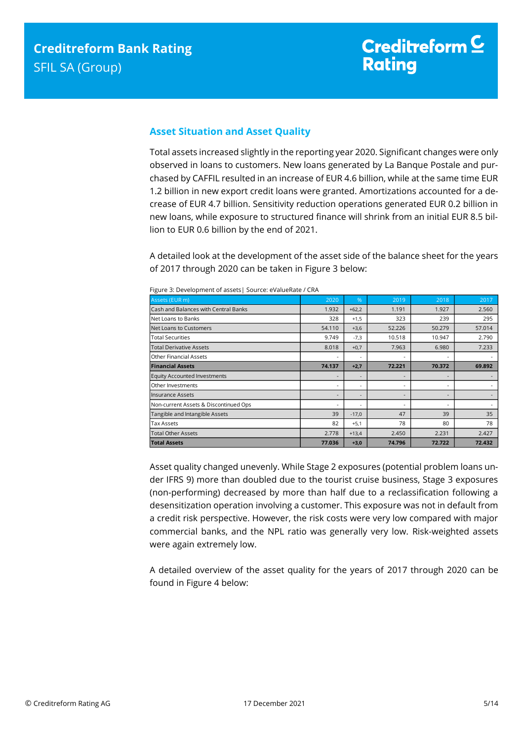### <span id="page-4-0"></span>**Asset Situation and Asset Quality**

Total assets increased slightly in the reporting year 2020. Significant changes were only observed in loans to customers. New loans generated by La Banque Postale and purchased by CAFFIL resulted in an increase of EUR 4.6 billion, while at the same time EUR 1.2 billion in new export credit loans were granted. Amortizations accounted for a decrease of EUR 4.7 billion. Sensitivity reduction operations generated EUR 0.2 billion in new loans, while exposure to structured finance will shrink from an initial EUR 8.5 billion to EUR 0.6 billion by the end of 2021.

A detailed look at the development of the asset side of the balance sheet for the years of 2017 through 2020 can be taken in Figure 3 below:

| Assets (EUR m)                        | 2020   | $\%$                     | 2019   | 2018                     | 2017   |
|---------------------------------------|--------|--------------------------|--------|--------------------------|--------|
| Cash and Balances with Central Banks  | 1.932  | $+62,2$                  | 1.191  | 1.927                    | 2.560  |
| Net Loans to Banks                    | 328    | $+1,5$                   | 323    | 239                      | 295    |
| Net Loans to Customers                | 54.110 | $+3,6$                   | 52.226 | 50.279                   | 57.014 |
| <b>Total Securities</b>               | 9.749  | $-7,3$                   | 10.518 | 10.947                   | 2.790  |
| <b>Total Derivative Assets</b>        | 8.018  | $+0,7$                   | 7.963  | 6.980                    | 7.233  |
| <b>Other Financial Assets</b>         |        |                          |        | ٠                        |        |
| <b>Financial Assets</b>               | 74.137 | $+2,7$                   | 72.221 | 70.372                   | 69.892 |
| <b>Equity Accounted Investments</b>   |        |                          |        | $\overline{\phantom{a}}$ |        |
| Other Investments                     |        | $\overline{\phantom{a}}$ | ۰      | ٠                        | ٠      |
| <b>Insurance Assets</b>               |        |                          |        | $\overline{\phantom{a}}$ |        |
| Non-current Assets & Discontinued Ops |        |                          |        | $\overline{\phantom{a}}$ | ٠      |
| Tangible and Intangible Assets        | 39     | $-17,0$                  | 47     | 39                       | 35     |
| <b>Tax Assets</b>                     | 82     | $+5,1$                   | 78     | 80                       | 78     |
| <b>Total Other Assets</b>             | 2.778  | $+13,4$                  | 2.450  | 2.231                    | 2.427  |
| <b>Total Assets</b>                   | 77.036 | $+3,0$                   | 74.796 | 72.722                   | 72.432 |

Figure 3: Development of assets| Source: eValueRate / CRA

Asset quality changed unevenly. While Stage 2 exposures (potential problem loans under IFRS 9) more than doubled due to the tourist cruise business, Stage 3 exposures (non-performing) decreased by more than half due to a reclassification following a desensitization operation involving a customer. This exposure was not in default from a credit risk perspective. However, the risk costs were very low compared with major commercial banks, and the NPL ratio was generally very low. Risk-weighted assets were again extremely low.

A detailed overview of the asset quality for the years of 2017 through 2020 can be found in Figure 4 below: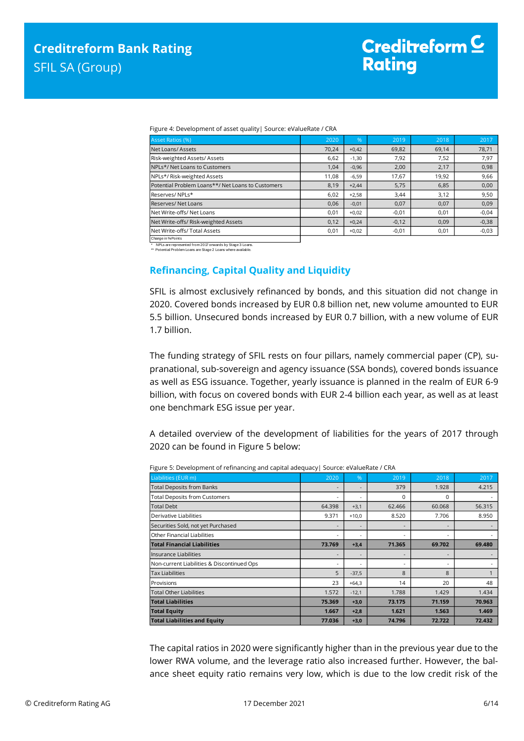| Figure 4: Development of asset quality   Source: eValueRate / CRA |  |  |  |
|-------------------------------------------------------------------|--|--|--|

| <b>Asset Ratios (%)</b>                           | 2020  | $\%$    | 2019    | 2018  | 2017    |
|---------------------------------------------------|-------|---------|---------|-------|---------|
| Net Loans/Assets                                  | 70.24 | $+0,42$ | 69,82   | 69.14 | 78,71   |
| Risk-weighted Assets/Assets                       | 6,62  | $-1,30$ | 7,92    | 7.52  | 7,97    |
| NPLs*/Net Loans to Customers                      | 1,04  | $-0,96$ | 2,00    | 2,17  | 0,98    |
| NPLs*/ Risk-weighted Assets                       | 11,08 | $-6,59$ | 17,67   | 19,92 | 9,66    |
| Potential Problem Loans**/ Net Loans to Customers | 8,19  | $+2,44$ | 5,75    | 6,85  | 0,00    |
| Reserves/NPLs*                                    | 6,02  | $+2,58$ | 3,44    | 3,12  | 9,50    |
| Reserves/Net Loans                                | 0,06  | $-0,01$ | 0,07    | 0,07  | 0,09    |
| Net Write-offs/ Net Loans                         | 0,01  | $+0,02$ | $-0,01$ | 0,01  | $-0,04$ |
| Net Write-offs/ Risk-weighted Assets              | 0,12  | $+0,24$ | $-0,12$ | 0.09  | $-0,38$ |
| Net Write-offs/ Total Assets                      | 0,01  | $+0,02$ | $-0,01$ | 0,01  | $-0,03$ |
| Change in % Points                                |       |         |         |       |         |

NPLs are represented from 2017 onwards by Stage 3 Loans.

<span id="page-5-0"></span>\*\* Potential Problem Loans are Stage 2 Loans where available.

### **Refinancing, Capital Quality and Liquidity**

SFIL is almost exclusively refinanced by bonds, and this situation did not change in 2020. Covered bonds increased by EUR 0.8 billion net, new volume amounted to EUR 5.5 billion. Unsecured bonds increased by EUR 0.7 billion, with a new volume of EUR 1.7 billion.

The funding strategy of SFIL rests on four pillars, namely commercial paper (CP), supranational, sub-sovereign and agency issuance (SSA bonds), covered bonds issuance as well as ESG issuance. Together, yearly issuance is planned in the realm of EUR 6-9 billion, with focus on covered bonds with EUR 2-4 billion each year, as well as at least one benchmark ESG issue per year.

A detailed overview of the development of liabilities for the years of 2017 through 2020 can be found in Figure 5 below:

|                                            | . .                      |         |          |                          |        |
|--------------------------------------------|--------------------------|---------|----------|--------------------------|--------|
| Liabilities (EUR m)                        | 2020                     | %       | 2019     | 2018                     | 2017   |
| <b>Total Deposits from Banks</b>           | $\overline{\phantom{a}}$ | ٠       | 379      | 1.928                    | 4.215  |
| Total Deposits from Customers              | $\overline{\phantom{a}}$ | ٠       | $\Omega$ | $\Omega$                 |        |
| <b>Total Debt</b>                          | 64.398                   | $+3,1$  | 62.466   | 60.068                   | 56.315 |
| lDerivative Liabilities                    | 9.371                    | $+10,0$ | 8.520    | 7.706                    | 8.950  |
| Securities Sold, not yet Purchased         | $\overline{\phantom{a}}$ | ٠       |          | $\overline{\phantom{a}}$ |        |
| Other Financial Liabilities                | ۰                        | ۰       |          | ٠                        |        |
| <b>Total Financial Liabilities</b>         | 73.769                   | $+3,4$  | 71.365   | 69.702                   | 69.480 |
| Insurance Liabilities                      | $\overline{\phantom{a}}$ |         |          | $\overline{\phantom{a}}$ |        |
| Non-current Liabilities & Discontinued Ops | $\overline{\phantom{a}}$ | ٠       |          | ٠                        |        |
| <b>Tax Liabilities</b>                     | 5                        | $-37,5$ | 8        | 8                        |        |
| Provisions                                 | 23                       | $+64,3$ | 14       | 20                       | 48     |
| <b>Total Other Liabilities</b>             | 1.572                    | $-12,1$ | 1.788    | 1.429                    | 1.434  |
| <b>Total Liabilities</b>                   | 75.369                   | $+3,0$  | 73.175   | 71.159                   | 70.963 |
| <b>Total Equity</b>                        | 1.667                    | $+2,8$  | 1.621    | 1.563                    | 1.469  |
| <b>Total Liabilities and Equity</b>        | 77.036                   | $+3,0$  | 74.796   | 72.722                   | 72.432 |

Figure 5: Development of refinancing and capital adequacy| Source: eValueRate / CRA

The capital ratios in 2020 were significantly higher than in the previous year due to the lower RWA volume, and the leverage ratio also increased further. However, the balance sheet equity ratio remains very low, which is due to the low credit risk of the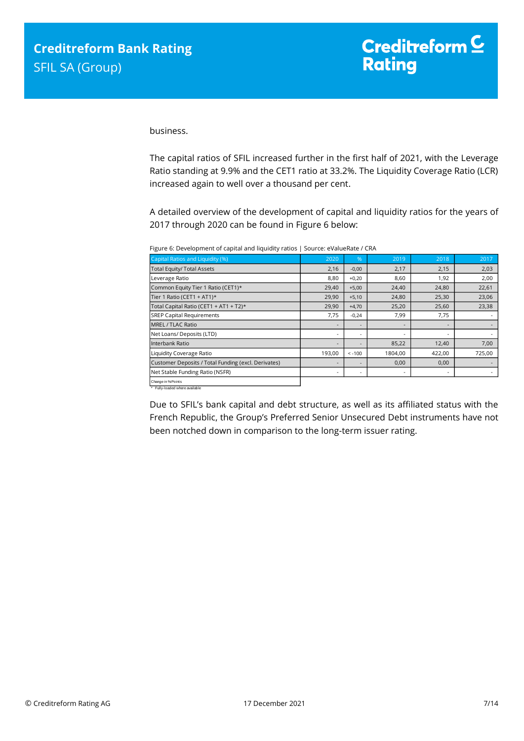business.

The capital ratios of SFIL increased further in the first half of 2021, with the Leverage Ratio standing at 9.9% and the CET1 ratio at 33.2%. The Liquidity Coverage Ratio (LCR) increased again to well over a thousand per cent.

A detailed overview of the development of capital and liquidity ratios for the years of 2017 through 2020 can be found in Figure 6 below:

Figure 6: Development of capital and liquidity ratios | Source: eValueRate / CRA

| Capital Ratios and Liquidity (%)                    | 2020                     | %                        | 2019    | 2018   | 2017   |
|-----------------------------------------------------|--------------------------|--------------------------|---------|--------|--------|
| <b>Total Equity/ Total Assets</b>                   | 2,16                     | $-0,00$                  | 2,17    | 2,15   | 2,03   |
| Leverage Ratio                                      | 8,80                     | $+0,20$                  | 8,60    | 1,92   | 2,00   |
| Common Equity Tier 1 Ratio (CET1)*                  | 29,40                    | $+5,00$                  | 24,40   | 24,80  | 22,61  |
| Tier 1 Ratio (CET1 + AT1)*                          | 29,90                    | $+5,10$                  | 24,80   | 25,30  | 23,06  |
| Total Capital Ratio (CET1 + AT1 + T2)*              | 29,90                    | $+4,70$                  | 25,20   | 25,60  | 23,38  |
| <b>SREP Capital Requirements</b>                    | 7,75                     | $-0,24$                  | 7,99    | 7,75   |        |
| MREL / TLAC Ratio                                   | $\overline{\phantom{a}}$ |                          |         |        |        |
| Net Loans/ Deposits (LTD)                           | $\overline{\phantom{a}}$ | $\overline{\phantom{a}}$ |         |        |        |
| Interbank Ratio                                     | $\overline{\phantom{a}}$ | $\overline{\phantom{a}}$ | 85,22   | 12,40  | 7,00   |
| Liquidity Coverage Ratio                            | 193,00                   | $< -100$                 | 1804,00 | 422,00 | 725,00 |
| Customer Deposits / Total Funding (excl. Derivates) | $\overline{\phantom{a}}$ |                          | 0,00    | 0,00   |        |
| Net Stable Funding Ratio (NSFR)                     | $\overline{\phantom{a}}$ | $\overline{\phantom{a}}$ |         | ٠      |        |
| Change in % Points                                  |                          |                          |         |        |        |

\* Fully-loaded where available

Due to SFIL's bank capital and debt structure, as well as its affiliated status with the French Republic, the Group's Preferred Senior Unsecured Debt instruments have not been notched down in comparison to the long-term issuer rating.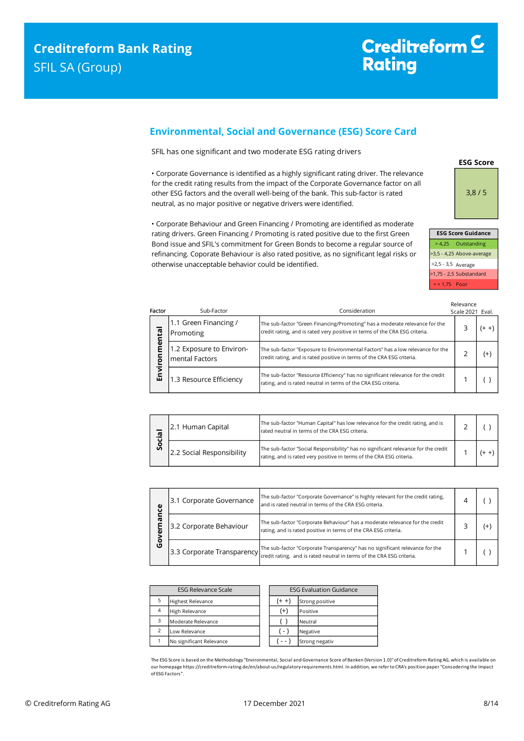Factor

### <span id="page-7-0"></span>**Environmental, Social and Governance (ESG) Score Card**

SFIL has one significant and two moderate ESG rating drivers

• Corporate Governance is identified as a highly significant rating driver. The relevance for the credit rating results from the impact of the Corporate Governance factor on all other ESG factors and the overall well-being of the bank. This sub-factor is rated neutral, as no major positive or negative drivers were identified.

• Corporate Behaviour and Green Financing / Promoting are identified as moderate rating drivers. Green Financing / Promoting is rated positive due to the first Green Bond issue and SFIL's commitment for Green Bonds to become a regular source of refinancing. Coporate Behaviour is also rated positive, as no significant legal risks or otherwise unacceptable behavior could be identified.

| ctor    | Sub-Factor                                 | Consideration                                                                                                                                              | Relevance<br>Scale 2021 Eval. |          |
|---------|--------------------------------------------|------------------------------------------------------------------------------------------------------------------------------------------------------------|-------------------------------|----------|
| mental  | 1.1 Green Financing /<br>Promoting         | The sub-factor "Green Financing/Promoting" has a moderate relevance for the<br>credit rating, and is rated very positive in terms of the CRA ESG criteria. |                               | (+ +)    |
| Environ | 1.2 Exposure to Environ-<br>mental Factors | The sub-factor "Exposure to Environmental Factors" has a low relevance for the<br>credit rating, and is rated positive in terms of the CRA ESG criteria.   |                               | $^{(+)}$ |
|         | 1.3 Resource Efficiency                    | The sub-factor "Resource Efficiency" has no significant relevance for the credit<br>rating, and is rated neutral in terms of the CRA ESG criteria.         |                               |          |

| Σ.<br>o<br>Ū | 2.1 Human Capital         | The sub-factor "Human Capital" has low relevance for the credit rating, and is<br>rated neutral in terms of the CRA ESG criteria.                          |  |  |
|--------------|---------------------------|------------------------------------------------------------------------------------------------------------------------------------------------------------|--|--|
|              | 2.2 Social Responsibility | The sub-factor "Social Responsibility" has no significant relevance for the credit<br>rating, and is rated very positive in terms of the CRA ESG criteria. |  |  |

| ပ္ပ<br>æ<br>о<br>ט | 3.1 Corporate Governance | The sub-factor "Corporate Governance" is highly relevant for the credit rating,<br>and is rated neutral in terms of the CRA ESG criteria.                                                                                                                                                                     |  |    |
|--------------------|--------------------------|---------------------------------------------------------------------------------------------------------------------------------------------------------------------------------------------------------------------------------------------------------------------------------------------------------------|--|----|
|                    | 3.2 Corporate Behaviour  | The sub-factor "Corporate Behaviour" has a moderate relevance for the credit<br>rating, and is rated positive in terms of the CRA ESG criteria.                                                                                                                                                               |  | (+ |
|                    |                          | The sub-factor "Corporate Transparency" has no significant relevance for the<br>[3.3 Corporate Transparency] [[[CRECTER TRANSPARED IN THE USE OF TRANSPARED IN THE USE Of THE USE Of THE USE OF THE USE OF THE USE OF THE USE OF THE USE OF THE USE OF THE USE OF THE USE OF THE USE OF THE USE OF THE USE OF |  |    |

| <b>ESG Relevance Scale</b> |                          | <b>ESG Evaluation Guidance</b> |                 |
|----------------------------|--------------------------|--------------------------------|-----------------|
| 5                          | <b>Highest Relevance</b> | (+ +)                          | Strong positive |
| $\overline{4}$             | High Relevance           | $^{(+)}$                       | Positive        |
| 3                          | Moderate Relevance       |                                | Neutral         |
|                            | Low Relevance            | $-1$                           | Negative        |
|                            | No significant Relevance |                                | Strong negativ  |

The ESG Score is based on the Methodology "Environmental, Social and Governance Score of Banken (Version 1.0)" of Creditreform Rating AG, which is available on our homepage https://creditreform-rating.de/en/about-us/regulatory-requirements.html. In addition, we refer to CRA's position paper "Consodering the Impact of ESG Factors".



| сэч эсые чишан         |                           |  |  |  |
|------------------------|---------------------------|--|--|--|
|                        | > 4.25 Outstanding        |  |  |  |
|                        | >3,5 - 4,25 Above-average |  |  |  |
| $>2,5 - 3,5$ Average   |                           |  |  |  |
|                        | >1,75 - 2,5 Substandard   |  |  |  |
| $\epsilon$ = 1,75 Poor |                           |  |  |  |
|                        |                           |  |  |  |

**ESG Score Guidance**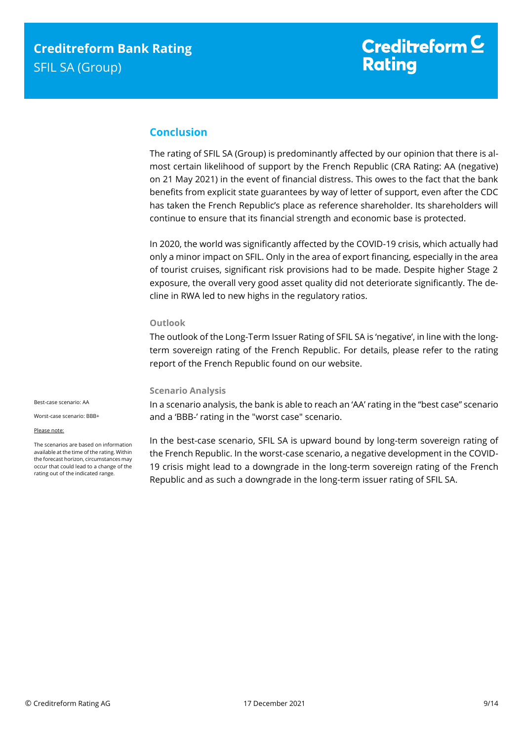### <span id="page-8-0"></span>**Conclusion**

The rating of SFIL SA (Group) is predominantly affected by our opinion that there is almost certain likelihood of support by the French Republic (CRA Rating: AA (negative) on 21 May 2021) in the event of financial distress. This owes to the fact that the bank benefits from explicit state guarantees by way of letter of support, even after the CDC has taken the French Republic's place as reference shareholder. Its shareholders will continue to ensure that its financial strength and economic base is protected.

In 2020, the world was significantly affected by the COVID-19 crisis, which actually had only a minor impact on SFIL. Only in the area of export financing, especially in the area of tourist cruises, significant risk provisions had to be made. Despite higher Stage 2 exposure, the overall very good asset quality did not deteriorate significantly. The decline in RWA led to new highs in the regulatory ratios.

#### **Outlook**

The outlook of the Long-Term Issuer Rating of SFIL SA is 'negative', in line with the longterm sovereign rating of the French Republic. For details, please refer to the rating report of the French Republic found on our website.

#### **Scenario Analysis**

In a scenario analysis, the bank is able to reach an 'AA' rating in the "best case" scenario and a 'BBB-' rating in the "worst case" scenario.

Best-case scenario: AA

Worst-case scenario: BBB+

Please note:

The scenarios are based on information available at the time of the rating. Within the forecast horizon, circumstances may occur that could lead to a change of the rating out of the indicated range.

<span id="page-8-1"></span>In the best-case scenario, SFIL SA is upward bound by long-term sovereign rating of the French Republic. In the worst-case scenario, a negative development in the COVID-19 crisis might lead to a downgrade in the long-term sovereign rating of the French Republic and as such a downgrade in the long-term issuer rating of SFIL SA.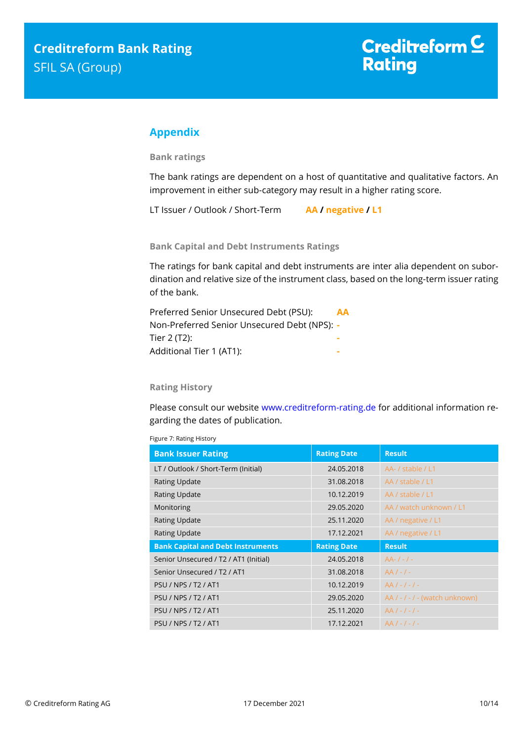### **Appendix**

**Bank ratings**

The bank ratings are dependent on a host of quantitative and qualitative factors. An improvement in either sub-category may result in a higher rating score.

LT Issuer / Outlook / Short-Term **AA / negative / L1**

**Bank Capital and Debt Instruments Ratings**

The ratings for bank capital and debt instruments are inter alia dependent on subordination and relative size of the instrument class, based on the long-term issuer rating of the bank.

| Preferred Senior Unsecured Debt (PSU):       | <b>AA</b> |
|----------------------------------------------|-----------|
| Non-Preferred Senior Unsecured Debt (NPS): - |           |
| Tier 2 (T2):                                 |           |
| Additional Tier 1 (AT1):                     |           |

#### **Rating History**

Please consult our website [www.creditreform-rating.de](http://www.creditreform-rating.de/) for additional information regarding the dates of publication.

| Figure 7: Rating History  |  |
|---------------------------|--|
| <b>Bank Issuer Rating</b> |  |

| <b>Bank Issuer Rating</b>                | <b>Rating Date</b> | <b>Result</b>                    |
|------------------------------------------|--------------------|----------------------------------|
| LT / Outlook / Short-Term (Initial)      | 24.05.2018         | AA- / stable / L1                |
| <b>Rating Update</b>                     | 31.08.2018         | AA / stable / L1                 |
| <b>Rating Update</b>                     | 10.12.2019         | AA / stable / L1                 |
| Monitoring                               | 29.05.2020         | AA / watch unknown / L1          |
| <b>Rating Update</b>                     | 25.11.2020         | AA / negative / L1               |
| <b>Rating Update</b>                     | 17.12.2021         | AA / negative / L1               |
|                                          |                    |                                  |
| <b>Bank Capital and Debt Instruments</b> | <b>Rating Date</b> | <b>Result</b>                    |
| Senior Unsecured / T2 / AT1 (Initial)    | 24.05.2018         | $AA-/-/-$                        |
| Senior Unsecured / T2 / AT1              | 31.08.2018         | $AA/-/-$                         |
| <b>PSU / NPS / T2 / AT1</b>              | 10.12.2019         | $AA/-/-/ -$                      |
| <b>PSU / NPS / T2 / AT1</b>              | 29.05.2020         | $AA / - / - / -$ (watch unknown) |
| <b>PSU / NPS / T2 / AT1</b>              | 25.11.2020         | $AA/-/-/ -$                      |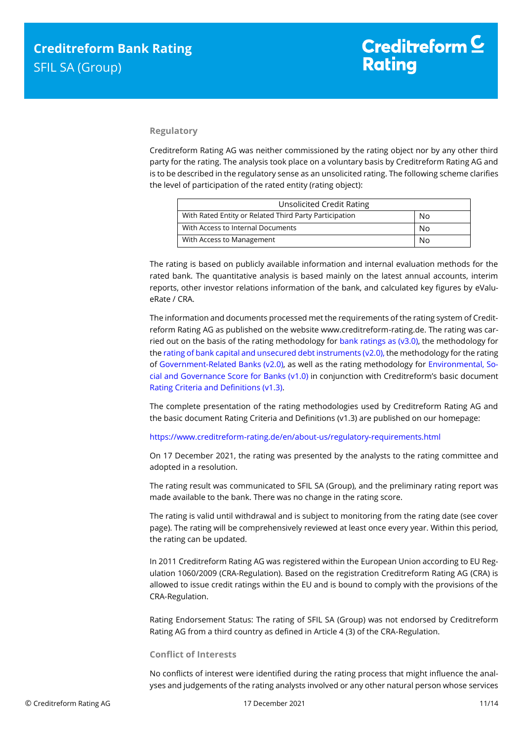#### **Regulatory**

Creditreform Rating AG was neither commissioned by the rating object nor by any other third party for the rating. The analysis took place on a voluntary basis by Creditreform Rating AG and is to be described in the regulatory sense as an unsolicited rating. The following scheme clarifies the level of participation of the rated entity (rating object):

| <b>Unsolicited Credit Rating</b>                       |    |
|--------------------------------------------------------|----|
| With Rated Entity or Related Third Party Participation | No |
| With Access to Internal Documents                      | No |
| With Access to Management                              | No |

The rating is based on publicly available information and internal evaluation methods for the rated bank. The quantitative analysis is based mainly on the latest annual accounts, interim reports, other investor relations information of the bank, and calculated key figures by eValueRate / CRA.

The information and documents processed met the requirements of the rating system of Creditreform Rating AG as published on the website www.creditreform-rating.de. The rating was carried out on the basis of the rating methodology for bank ratings as ( $v3.0$ ), the methodology for th[e rating of bank capital and unsecured debt instruments \(v2.0\),](https://www.creditreform-rating.de/en/about-us/regulatory-requirements.html?file=files/content/downloads/Externes%20Rating/Regulatorische%20Anforderungen/EN/Ratingmethodiken%20EN/Bank%20Capital%20and%20Unsecured%20Debt%20Instruments%20Methodology.pdf) the methodology for the rating of [Government-Related Banks \(v2.0\),](https://www.creditreform-rating.de/en/about-us/regulatory-requirements.html?file=files/content/downloads/Externes%20Rating/Regulatorische%20Anforderungen/EN/Ratingmethodiken%20EN/Sub-Methodology%20-%20Government-Related%20Banks.pdf) as well as the rating methodology for [Environmental, So](https://www.creditreform-rating.de/en/about-us/regulatory-requirements.html?file=files/content/downloads/Externes%20Rating/Regulatorische%20Anforderungen/EN/Ratingmethodiken%20EN/Rating%20Methodology%20ESG%20v1.0.pdf)[cial and Governance Score for Banks \(v1.0\)](https://www.creditreform-rating.de/en/about-us/regulatory-requirements.html?file=files/content/downloads/Externes%20Rating/Regulatorische%20Anforderungen/EN/Ratingmethodiken%20EN/Rating%20Methodology%20ESG%20v1.0.pdf) in conjunction with Creditreform's basic document [Rating Criteria and Definitions \(v1.3\).](https://www.creditreform-rating.de/en/about-us/regulatory-requirements.html?file=files/content/downloads/Externes%20Rating/Regulatorische%20Anforderungen/EN/Ratingmethodiken%20EN/CRAG%20Rating%20Criteria%20and%20Definitions.pdf)

The complete presentation of the rating methodologies used by Creditreform Rating AG and the basic document Rating Criteria and Definitions (v1.3) are published on our homepage:

#### <https://www.creditreform-rating.de/en/about-us/regulatory-requirements.html>

On 17 December 2021, the rating was presented by the analysts to the rating committee and adopted in a resolution.

The rating result was communicated to SFIL SA (Group), and the preliminary rating report was made available to the bank. There was no change in the rating score.

The rating is valid until withdrawal and is subject to monitoring from the rating date (see cover page). The rating will be comprehensively reviewed at least once every year. Within this period, the rating can be updated.

In 2011 Creditreform Rating AG was registered within the European Union according to EU Regulation 1060/2009 (CRA-Regulation). Based on the registration Creditreform Rating AG (CRA) is allowed to issue credit ratings within the EU and is bound to comply with the provisions of the CRA-Regulation.

Rating Endorsement Status: The rating of SFIL SA (Group) was not endorsed by Creditreform Rating AG from a third country as defined in Article 4 (3) of the CRA-Regulation.

#### **Conflict of Interests**

No conflicts of interest were identified during the rating process that might influence the analyses and judgements of the rating analysts involved or any other natural person whose services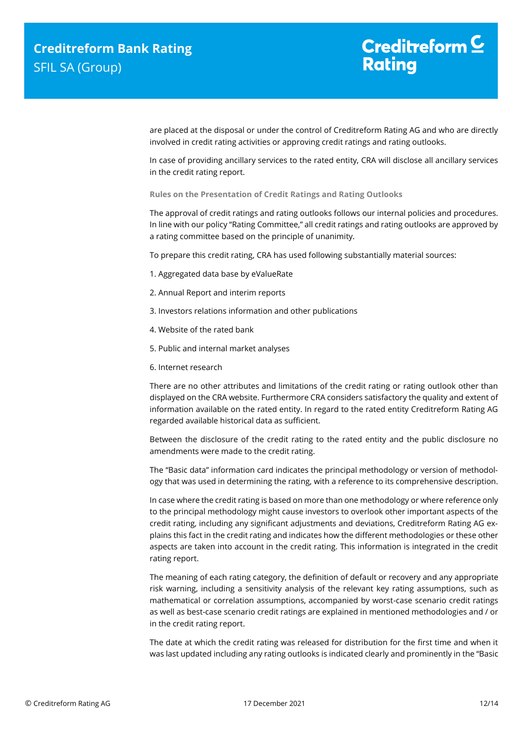are placed at the disposal or under the control of Creditreform Rating AG and who are directly involved in credit rating activities or approving credit ratings and rating outlooks.

In case of providing ancillary services to the rated entity, CRA will disclose all ancillary services in the credit rating report.

**Rules on the Presentation of Credit Ratings and Rating Outlooks**

The approval of credit ratings and rating outlooks follows our internal policies and procedures. In line with our policy "Rating Committee," all credit ratings and rating outlooks are approved by a rating committee based on the principle of unanimity.

To prepare this credit rating, CRA has used following substantially material sources:

- 1. Aggregated data base by eValueRate
- 2. Annual Report and interim reports
- 3. Investors relations information and other publications
- 4. Website of the rated bank
- 5. Public and internal market analyses
- 6. Internet research

There are no other attributes and limitations of the credit rating or rating outlook other than displayed on the CRA website. Furthermore CRA considers satisfactory the quality and extent of information available on the rated entity. In regard to the rated entity Creditreform Rating AG regarded available historical data as sufficient.

Between the disclosure of the credit rating to the rated entity and the public disclosure no amendments were made to the credit rating.

The "Basic data" information card indicates the principal methodology or version of methodology that was used in determining the rating, with a reference to its comprehensive description.

In case where the credit rating is based on more than one methodology or where reference only to the principal methodology might cause investors to overlook other important aspects of the credit rating, including any significant adjustments and deviations, Creditreform Rating AG explains this fact in the credit rating and indicates how the different methodologies or these other aspects are taken into account in the credit rating. This information is integrated in the credit rating report.

The meaning of each rating category, the definition of default or recovery and any appropriate risk warning, including a sensitivity analysis of the relevant key rating assumptions, such as mathematical or correlation assumptions, accompanied by worst-case scenario credit ratings as well as best-case scenario credit ratings are explained in mentioned methodologies and / or in the credit rating report.

The date at which the credit rating was released for distribution for the first time and when it was last updated including any rating outlooks is indicated clearly and prominently in the "Basic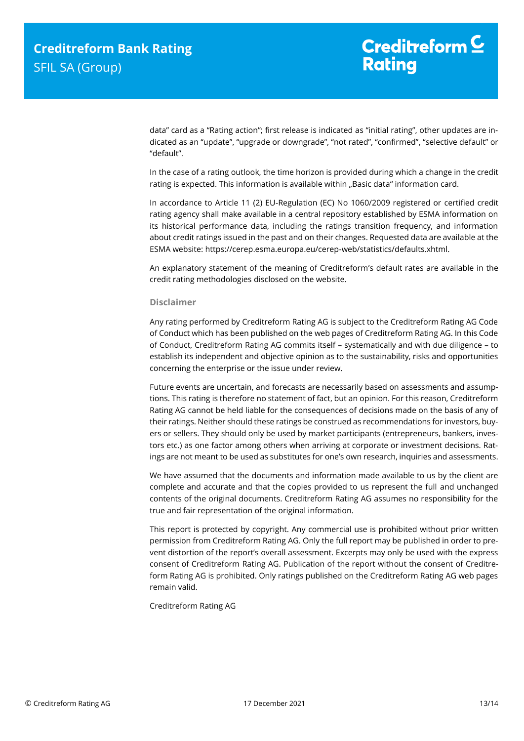data" card as a "Rating action"; first release is indicated as "initial rating", other updates are indicated as an "update", "upgrade or downgrade", "not rated", "confirmed", "selective default" or "default".

In the case of a rating outlook, the time horizon is provided during which a change in the credit rating is expected. This information is available within "Basic data" information card.

In accordance to Article 11 (2) EU-Regulation (EC) No 1060/2009 registered or certified credit rating agency shall make available in a central repository established by ESMA information on its historical performance data, including the ratings transition frequency, and information about credit ratings issued in the past and on their changes. Requested data are available at the ESMA website: https://cerep.esma.europa.eu/cerep-web/statistics/defaults.xhtml.

An explanatory statement of the meaning of Creditreform's default rates are available in the credit rating methodologies disclosed on the website.

#### **Disclaimer**

Any rating performed by Creditreform Rating AG is subject to the Creditreform Rating AG Code of Conduct which has been published on the web pages of Creditreform Rating AG. In this Code of Conduct, Creditreform Rating AG commits itself – systematically and with due diligence – to establish its independent and objective opinion as to the sustainability, risks and opportunities concerning the enterprise or the issue under review.

Future events are uncertain, and forecasts are necessarily based on assessments and assumptions. This rating is therefore no statement of fact, but an opinion. For this reason, Creditreform Rating AG cannot be held liable for the consequences of decisions made on the basis of any of their ratings. Neither should these ratings be construed as recommendations for investors, buyers or sellers. They should only be used by market participants (entrepreneurs, bankers, investors etc.) as one factor among others when arriving at corporate or investment decisions. Ratings are not meant to be used as substitutes for one's own research, inquiries and assessments.

We have assumed that the documents and information made available to us by the client are complete and accurate and that the copies provided to us represent the full and unchanged contents of the original documents. Creditreform Rating AG assumes no responsibility for the true and fair representation of the original information.

This report is protected by copyright. Any commercial use is prohibited without prior written permission from Creditreform Rating AG. Only the full report may be published in order to prevent distortion of the report's overall assessment. Excerpts may only be used with the express consent of Creditreform Rating AG. Publication of the report without the consent of Creditreform Rating AG is prohibited. Only ratings published on the Creditreform Rating AG web pages remain valid.

Creditreform Rating AG